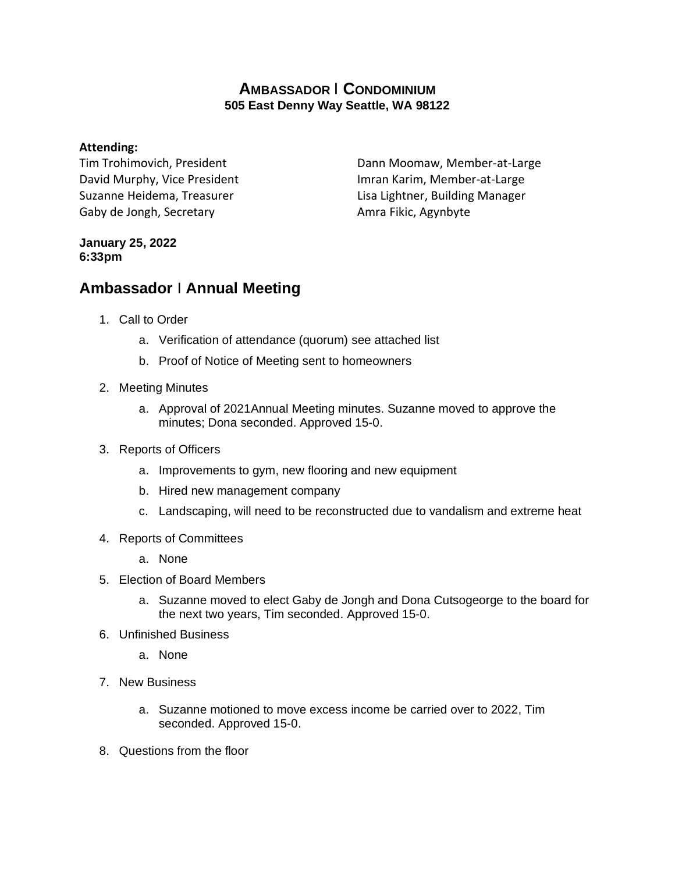## **AMBASSADOR** I **CONDOMINIUM 505 East Denny Way Seattle, WA 98122**

## **Attending:**

Tim Trohimovich, President David Murphy, Vice President Suzanne Heidema, Treasurer Gaby de Jongh, Secretary

Dann Moomaw, Member-at-Large Imran Karim, Member-at-Large Lisa Lightner, Building Manager Amra Fikic, Agynbyte

## **January 25, 2022 6:33pm**

## **Ambassador** I **Annual Meeting**

- 1. Call to Order
	- a. Verification of attendance (quorum) see attached list
	- b. Proof of Notice of Meeting sent to homeowners
- 2. Meeting Minutes
	- a. Approval of 2021Annual Meeting minutes. Suzanne moved to approve the minutes; Dona seconded. Approved 15-0.
- 3. Reports of Officers
	- a. Improvements to gym, new flooring and new equipment
	- b. Hired new management company
	- c. Landscaping, will need to be reconstructed due to vandalism and extreme heat
- 4. Reports of Committees
	- a. None
- 5. Election of Board Members
	- a. Suzanne moved to elect Gaby de Jongh and Dona Cutsogeorge to the board for the next two years, Tim seconded. Approved 15-0.
- 6. Unfinished Business
	- a. None
- 7. New Business
	- a. Suzanne motioned to move excess income be carried over to 2022, Tim seconded. Approved 15-0.
- 8. Questions from the floor